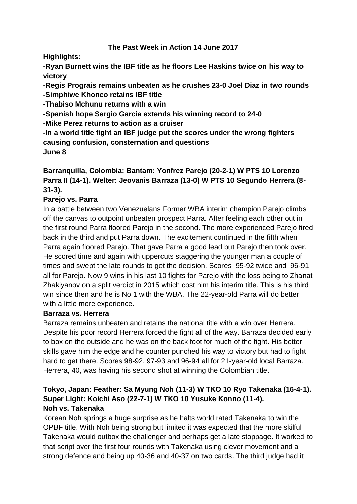## **The Past Week in Action 14 June 2017**

**Highlights:**

**-Ryan Burnett wins the IBF title as he floors Lee Haskins twice on his way to victory**

**-Regis Prograis remains unbeaten as he crushes 23-0 Joel Diaz in two rounds -Simphiwe Khonco retains IBF title**

**-Thabiso Mchunu returns with a win**

**-Spanish hope Sergio Garcia extends his winning record to 24-0**

**-Mike Perez returns to action as a cruiser**

**-In a world title fight an IBF judge put the scores under the wrong fighters causing confusion, consternation and questions June 8**

## **Barranquilla, Colombia: Bantam: Yonfrez Parejo (20-2-1) W PTS 10 Lorenzo Parra II (14-1). Welter: Jeovanis Barraza (13-0) W PTS 10 Segundo Herrera (8- 31-3).**

## **Parejo vs. Parra**

In a battle between two Venezuelans Former WBA interim champion Parejo climbs off the canvas to outpoint unbeaten prospect Parra. After feeling each other out in the first round Parra floored Parejo in the second. The more experienced Parejo fired back in the third and put Parra down. The excitement continued in the fifth when Parra again floored Parejo. That gave Parra a good lead but Parejo then took over. He scored time and again with uppercuts staggering the younger man a couple of times and swept the late rounds to get the decision. Scores 95-92 twice and 96-91 all for Parejo. Now 9 wins in his last 10 fights for Parejo with the loss being to Zhanat Zhakiyanov on a split verdict in 2015 which cost him his interim title. This is his third win since then and he is No 1 with the WBA. The 22-year-old Parra will do better with a little more experience.

## **Barraza vs. Herrera**

Barraza remains unbeaten and retains the national title with a win over Herrera. Despite his poor record Herrera forced the fight all of the way. Barraza decided early to box on the outside and he was on the back foot for much of the fight. His better skills gave him the edge and he counter punched his way to victory but had to fight hard to get there. Scores 98-92, 97-93 and 96-94 all for 21-year-old local Barraza. Herrera, 40, was having his second shot at winning the Colombian title.

#### **Tokyo, Japan: Feather: Sa Myung Noh (11-3) W TKO 10 Ryo Takenaka (16-4-1). Super Light: Koichi Aso (22-7-1) W TKO 10 Yusuke Konno (11-4). Noh vs. Takenaka**

Korean Noh springs a huge surprise as he halts world rated Takenaka to win the OPBF title. With Noh being strong but limited it was expected that the more skilful Takenaka would outbox the challenger and perhaps get a late stoppage. It worked to that script over the first four rounds with Takenaka using clever movement and a strong defence and being up 40-36 and 40-37 on two cards. The third judge had it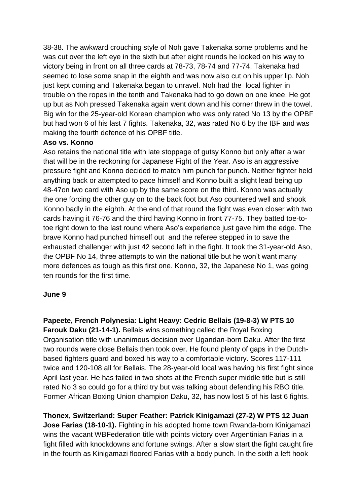38-38. The awkward crouching style of Noh gave Takenaka some problems and he was cut over the left eye in the sixth but after eight rounds he looked on his way to victory being in front on all three cards at 78-73, 78-74 and 77-74. Takenaka had seemed to lose some snap in the eighth and was now also cut on his upper lip. Noh just kept coming and Takenaka began to unravel. Noh had the local fighter in trouble on the ropes in the tenth and Takenaka had to go down on one knee. He got up but as Noh pressed Takenaka again went down and his corner threw in the towel. Big win for the 25-year-old Korean champion who was only rated No 13 by the OPBF but had won 6 of his last 7 fights. Takenaka, 32, was rated No 6 by the IBF and was making the fourth defence of his OPBF title.

#### **Aso vs. Konno**

Aso retains the national title with late stoppage of gutsy Konno but only after a war that will be in the reckoning for Japanese Fight of the Year. Aso is an aggressive pressure fight and Konno decided to match him punch for punch. Neither fighter held anything back or attempted to pace himself and Konno built a slight lead being up 48-47on two card with Aso up by the same score on the third. Konno was actually the one forcing the other guy on to the back foot but Aso countered well and shook Konno badly in the eighth. At the end of that round the fight was even closer with two cards having it 76-76 and the third having Konno in front 77-75. They batted toe-totoe right down to the last round where Aso's experience just gave him the edge. The brave Konno had punched himself out and the referee stepped in to save the exhausted challenger with just 42 second left in the fight. It took the 31-year-old Aso, the OPBF No 14, three attempts to win the national title but he won't want many more defences as tough as this first one. Konno, 32, the Japanese No 1, was going ten rounds for the first time.

#### **June 9**

**Papeete, French Polynesia: Light Heavy: Cedric Bellais (19-8-3) W PTS 10 Farouk Daku (21-14-1).** Bellais wins something called the Royal Boxing Organisation title with unanimous decision over Ugandan-born Daku. After the first two rounds were close Bellais then took over. He found plenty of gaps in the Dutchbased fighters guard and boxed his way to a comfortable victory. Scores 117-111 twice and 120-108 all for Bellais. The 28-year-old local was having his first fight since April last year. He has failed in two shots at the French super middle title but is still rated No 3 so could go for a third try but was talking about defending his RBO title. Former African Boxing Union champion Daku, 32, has now lost 5 of his last 6 fights.

**Thonex, Switzerland: Super Feather: Patrick Kinigamazi (27-2) W PTS 12 Juan Jose Farias (18-10-1).** Fighting in his adopted home town Rwanda-born Kinigamazi wins the vacant WBFederation title with points victory over Argentinian Farias in a fight filled with knockdowns and fortune swings. After a slow start the fight caught fire in the fourth as Kinigamazi floored Farias with a body punch. In the sixth a left hook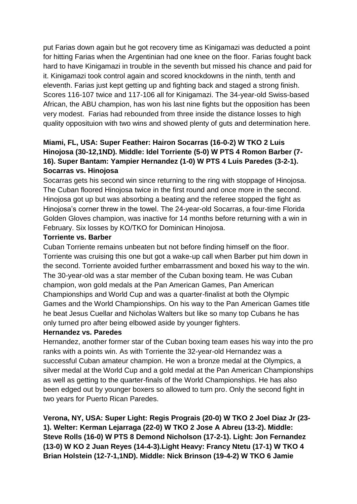put Farias down again but he got recovery time as Kinigamazi was deducted a point for hitting Farias when the Argentinian had one knee on the floor. Farias fought back hard to have Kinigamazi in trouble in the seventh but missed his chance and paid for it. Kinigamazi took control again and scored knockdowns in the ninth, tenth and eleventh. Farias just kept getting up and fighting back and staged a strong finish. Scores 116-107 twice and 117-106 all for Kinigamazi. The 34-year-old Swiss-based African, the ABU champion, has won his last nine fights but the opposition has been very modest. Farias had rebounded from three inside the distance losses to high quality opposituion with two wins and showed plenty of guts and determination here.

## **Miami, FL, USA: Super Feather: Hairon Socarras (16-0-2) W TKO 2 Luis Hinojosa (30-12,1ND). Middle: Idel Torriente (5-0) W PTS 4 Romon Barber (7- 16). Super Bantam: Yampier Hernandez (1-0) W PTS 4 Luis Paredes (3-2-1). Socarras vs. Hinojosa**

Socarras gets his second win since returning to the ring with stoppage of Hinojosa. The Cuban floored Hinojosa twice in the first round and once more in the second. Hinojosa got up but was absorbing a beating and the referee stopped the fight as Hinojosa's corner threw in the towel. The 24-year-old Socarras, a four-time Florida Golden Gloves champion, was inactive for 14 months before returning with a win in February. Six losses by KO/TKO for Dominican Hinojosa.

#### **Torriente vs. Barber**

Cuban Torriente remains unbeaten but not before finding himself on the floor. Torriente was cruising this one but got a wake-up call when Barber put him down in the second. Torriente avoided further embarrassment and boxed his way to the win. The 30-year-old was a star member of the Cuban boxing team. He was Cuban champion, won gold medals at the Pan American Games, Pan American Championships and World Cup and was a quarter-finalist at both the Olympic Games and the World Championships. On his way to the Pan American Games title he beat Jesus Cuellar and Nicholas Walters but like so many top Cubans he has only turned pro after being elbowed aside by younger fighters.

## **Hernandez vs. Paredes**

Hernandez, another former star of the Cuban boxing team eases his way into the pro ranks with a points win. As with Torriente the 32-year-old Hernandez was a successful Cuban amateur champion. He won a bronze medal at the Olympics, a silver medal at the World Cup and a gold medal at the Pan American Championships as well as getting to the quarter-finals of the World Championships. He has also been edged out by younger boxers so allowed to turn pro. Only the second fight in two years for Puerto Rican Paredes.

**Verona, NY, USA: Super Light: Regis Prograis (20-0) W TKO 2 Joel Diaz Jr (23- 1). Welter: Kerman Lejarraga (22-0) W TKO 2 Jose A Abreu (13-2). Middle: Steve Rolls (16-0) W PTS 8 Demond Nicholson (17-2-1). Light: Jon Fernandez (13-0) W KO 2 Juan Reyes (14-4-3).Light Heavy: Francy Ntetu (17-1) W TKO 4 Brian Holstein (12-7-1,1ND). Middle: Nick Brinson (19-4-2) W TKO 6 Jamie**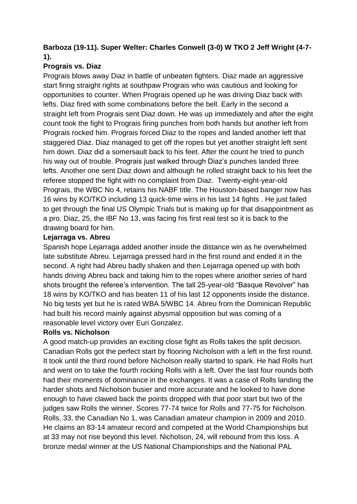## **Barboza (19-11). Super Welter: Charles Conwell (3-0) W TKO 2 Jeff Wright (4-7- 1).**

## **Prograis vs. Diaz**

Prograis blows away Diaz in battle of unbeaten fighters. Diaz made an aggressive start firing straight rights at southpaw Prograis who was cautious and looking for opportunities to counter. When Prograis opened up he was driving Diaz back with lefts. Diaz fired with some combinations before the bell. Early in the second a straight left from Prograis sent Diaz down. He was up immediately and after the eight count took the fight to Prograis firing punches from both hands but another left from Prograis rocked him. Prograis forced Diaz to the ropes and landed another left that staggered Diaz. Diaz managed to get off the ropes but yet another straight left sent him down. Diaz did a somersault back to his feet. After the count he tried to punch his way out of trouble. Prograis just walked through Diaz's punches landed three lefts. Another one sent Diaz down and although he rolled straight back to his feet the referee stopped the fight with no complaint from Diaz. Twenty-eight-year-old Prograis, the WBC No 4, retains his NABF title. The Houston-based banger now has 16 wins by KO/TKO including 13 quick-time wins in his last 14 fights . He just failed to get through the final US Olympic Trials but is making up for that disappointment as a pro. Diaz, 25, the IBF No 13, was facing his first real test so it is back to the drawing board for him.

## **Lejarraga vs. Abreu**

Spanish hope Lejarraga added another inside the distance win as he overwhelmed late substitute Abreu. Lejarraga pressed hard in the first round and ended it in the second. A right had Abreu badly shaken and then Lejarraga opened up with both hands driving Abreu back and taking him to the ropes where another series of hard shots brought the referee's intervention. The tall 25-year-old "Basque Revolver" has 18 wins by KO/TKO and has beaten 11 of his last 12 opponents inside the distance. No big tests yet but he is rated WBA 5/WBC 14. Abreu from the Dominican Republic had built his record mainly against abysmal opposition but was coming of a reasonable level victory over Euri Gonzalez.

## **Rolls vs. Nicholson**

A good match-up provides an exciting close fight as Rolls takes the split decision. Canadian Rolls got the perfect start by flooring Nicholson with a left in the first round. It took until the third round before Nicholson really started to spark. He had Rolls hurt and went on to take the fourth rocking Rolls with a left. Over the last four rounds both had their moments of dominance in the exchanges. It was a case of Rolls landing the harder shots and Nicholson busier and more accurate and he looked to have done enough to have clawed back the points dropped with that poor start but two of the judges saw Rolls the winner. Scores 77-74 twice for Rolls and 77-75 for Nicholson. Rolls, 33, the Canadian No 1, was Canadian amateur champion in 2009 and 2010. He claims an 83-14 amateur record and competed at the World Championships but at 33 may not rise beyond this level. Nicholson, 24, will rebound from this loss. A bronze medal winner at the US National Championships and the National PAL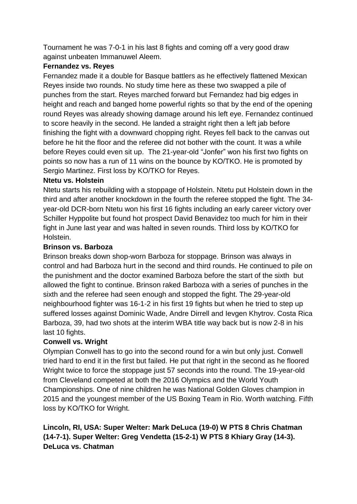Tournament he was 7-0-1 in his last 8 fights and coming off a very good draw against unbeaten Immanuwel Aleem.

## **Fernandez vs. Reyes**

Fernandez made it a double for Basque battlers as he effectively flattened Mexican Reyes inside two rounds. No study time here as these two swapped a pile of punches from the start. Reyes marched forward but Fernandez had big edges in height and reach and banged home powerful rights so that by the end of the opening round Reyes was already showing damage around his left eye. Fernandez continued to score heavily in the second. He landed a straight right then a left jab before finishing the fight with a downward chopping right. Reyes fell back to the canvas out before he hit the floor and the referee did not bother with the count. It was a while before Reyes could even sit up. The 21-year-old "Jonfer" won his first two fights on points so now has a run of 11 wins on the bounce by KO/TKO. He is promoted by Sergio Martinez. First loss by KO/TKO for Reyes.

## **Ntetu vs. Holstein**

Ntetu starts his rebuilding with a stoppage of Holstein. Ntetu put Holstein down in the third and after another knockdown in the fourth the referee stopped the fight. The 34 year-old DCR-born Ntetu won his first 16 fights including an early career victory over Schiller Hyppolite but found hot prospect David Benavidez too much for him in their fight in June last year and was halted in seven rounds. Third loss by KO/TKO for Holstein.

## **Brinson vs. Barboza**

Brinson breaks down shop-worn Barboza for stoppage. Brinson was always in control and had Barboza hurt in the second and third rounds. He continued to pile on the punishment and the doctor examined Barboza before the start of the sixth but allowed the fight to continue. Brinson raked Barboza with a series of punches in the sixth and the referee had seen enough and stopped the fight. The 29-year-old neighbourhood fighter was 16-1-2 in his first 19 fights but when he tried to step up suffered losses against Dominic Wade, Andre Dirrell and Ievgen Khytrov. Costa Rica Barboza, 39, had two shots at the interim WBA title way back but is now 2-8 in his last 10 fights.

## **Conwell vs. Wright**

Olympian Conwell has to go into the second round for a win but only just. Conwell tried hard to end it in the first but failed. He put that right in the second as he floored Wright twice to force the stoppage just 57 seconds into the round. The 19-year-old from Cleveland competed at both the 2016 Olympics and the World Youth Championships. One of nine children he was National Golden Gloves champion in 2015 and the youngest member of the US Boxing Team in Rio. Worth watching. Fifth loss by KO/TKO for Wright.

## **Lincoln, RI, USA: Super Welter: Mark DeLuca (19-0) W PTS 8 Chris Chatman (14-7-1). Super Welter: Greg Vendetta (15-2-1) W PTS 8 Khiary Gray (14-3). DeLuca vs. Chatman**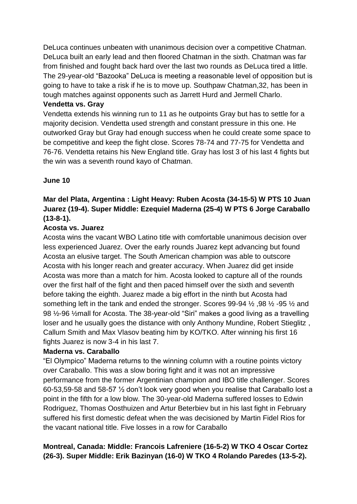DeLuca continues unbeaten with unanimous decision over a competitive Chatman. DeLuca built an early lead and then floored Chatman in the sixth. Chatman was far from finished and fought back hard over the last two rounds as DeLuca tired a little. The 29-year-old "Bazooka" DeLuca is meeting a reasonable level of opposition but is going to have to take a risk if he is to move up. Southpaw Chatman,32, has been in tough matches against opponents such as Jarrett Hurd and Jermell Charlo.

#### **Vendetta vs. Gray**

Vendetta extends his winning run to 11 as he outpoints Gray but has to settle for a majority decision. Vendetta used strength and constant pressure in this one. He outworked Gray but Gray had enough success when he could create some space to be competitive and keep the fight close. Scores 78-74 and 77-75 for Vendetta and 76-76. Vendetta retains his New England title. Gray has lost 3 of his last 4 fights but the win was a seventh round kayo of Chatman.

## **June 10**

## **Mar del Plata, Argentina : Light Heavy: Ruben Acosta (34-15-5) W PTS 10 Juan Juarez (19-4). Super Middle: Ezequiel Maderna (25-4) W PTS 6 Jorge Caraballo (13-8-1).**

## **Acosta vs. Juarez**

Acosta wins the vacant WBO Latino title with comfortable unanimous decision over less experienced Juarez. Over the early rounds Juarez kept advancing but found Acosta an elusive target. The South American champion was able to outscore Acosta with his longer reach and greater accuracy. When Juarez did get inside Acosta was more than a match for him. Acosta looked to capture all of the rounds over the first half of the fight and then paced himself over the sixth and seventh before taking the eighth. Juarez made a big effort in the ninth but Acosta had something left in the tank and ended the stronger. Scores 99-94 ½ ,98 ½ -95 ½ and 98 ½-96 ½mall for Acosta. The 38-year-old "Siri" makes a good living as a travelling loser and he usually goes the distance with only Anthony Mundine, Robert Stieglitz , Callum Smith and Max Vlasov beating him by KO/TKO. After winning his first 16 fights Juarez is now 3-4 in his last 7.

## **Maderna vs. Caraballo**

"El Olympico" Maderna returns to the winning column with a routine points victory over Caraballo. This was a slow boring fight and it was not an impressive performance from the former Argentinian champion and IBO title challenger. Scores 60-53,59-58 and 58-57 ½ don't look very good when you realise that Caraballo lost a point in the fifth for a low blow. The 30-year-old Maderna suffered losses to Edwin Rodriguez, Thomas Oosthuizen and Artur Beterbiev but in his last fight in February suffered his first domestic defeat when the was decisioned by Martin Fidel Rios for the vacant national title. Five losses in a row for Caraballo

## **Montreal, Canada: Middle: Francois Lafreniere (16-5-2) W TKO 4 Oscar Cortez (26-3). Super Middle: Erik Bazinyan (16-0) W TKO 4 Rolando Paredes (13-5-2).**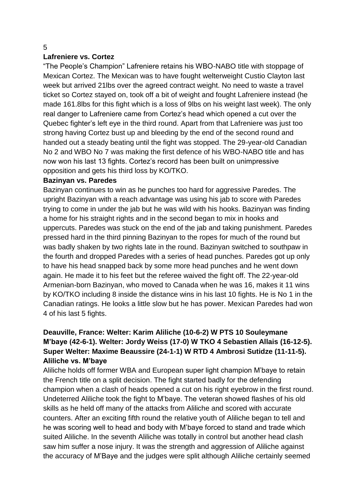## **Lafreniere vs. Cortez**

"The People's Champion" Lafreniere retains his WBO-NABO title with stoppage of Mexican Cortez. The Mexican was to have fought welterweight Custio Clayton last week but arrived 21lbs over the agreed contract weight. No need to waste a travel ticket so Cortez stayed on, took off a bit of weight and fought Lafreniere instead (he made 161.8lbs for this fight which is a loss of 9lbs on his weight last week). The only real danger to Lafreniere came from Cortez's head which opened a cut over the Quebec fighter's left eye in the third round. Apart from that Lafreniere was just too strong having Cortez bust up and bleeding by the end of the second round and handed out a steady beating until the fight was stopped. The 29-year-old Canadian No 2 and WBO No 7 was making the first defence of his WBO-NABO title and has now won his last 13 fights. Cortez's record has been built on unimpressive opposition and gets his third loss by KO/TKO.

#### **Bazinyan vs. Paredes**

Bazinyan continues to win as he punches too hard for aggressive Paredes. The upright Bazinyan with a reach advantage was using his jab to score with Paredes trying to come in under the jab but he was wild with his hooks. Bazinyan was finding a home for his straight rights and in the second began to mix in hooks and uppercuts. Paredes was stuck on the end of the jab and taking punishment. Paredes pressed hard in the third pinning Bazinyan to the ropes for much of the round but was badly shaken by two rights late in the round. Bazinyan switched to southpaw in the fourth and dropped Paredes with a series of head punches. Paredes got up only to have his head snapped back by some more head punches and he went down again. He made it to his feet but the referee waived the fight off. The 22-year-old Armenian-born Bazinyan, who moved to Canada when he was 16, makes it 11 wins by KO/TKO including 8 inside the distance wins in his last 10 fights. He is No 1 in the Canadian ratings. He looks a little slow but he has power. Mexican Paredes had won 4 of his last 5 fights.

## **Deauville, France: Welter: Karim Aliliche (10-6-2) W PTS 10 Souleymane M'baye (42-6-1). Welter: Jordy Weiss (17-0) W TKO 4 Sebastien Allais (16-12-5). Super Welter: Maxime Beaussire (24-1-1) W RTD 4 Ambrosi Sutidze (11-11-5). Aliliche vs. M'baye**

Aliliche holds off former WBA and European super light champion M'baye to retain the French title on a split decision. The fight started badly for the defending champion when a clash of heads opened a cut on his right eyebrow in the first round. Undeterred Aliliche took the fight to M'baye. The veteran showed flashes of his old skills as he held off many of the attacks from Aliliche and scored with accurate counters. After an exciting fifth round the relative youth of Aliliche began to tell and he was scoring well to head and body with M'baye forced to stand and trade which suited Aliliche. In the seventh Aliliche was totally in control but another head clash saw him suffer a nose injury. It was the strength and aggression of Aliliche against the accuracy of M'Baye and the judges were split although Aliliche certainly seemed

#### 5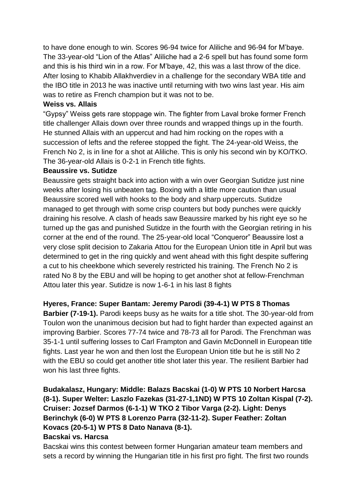to have done enough to win. Scores 96-94 twice for Aliliche and 96-94 for M'baye. The 33-year-old "Lion of the Atlas" Aliliche had a 2-6 spell but has found some form and this is his third win in a row. For M'baye, 42, this was a last throw of the dice. After losing to Khabib Allakhverdiev in a challenge for the secondary WBA title and the IBO title in 2013 he was inactive until returning with two wins last year. His aim was to retire as French champion but it was not to be.

#### **Weiss vs. Allais**

"Gypsy" Weiss gets rare stoppage win. The fighter from Laval broke former French title challenger Allais down over three rounds and wrapped things up in the fourth. He stunned Allais with an uppercut and had him rocking on the ropes with a succession of lefts and the referee stopped the fight. The 24-year-old Weiss, the French No 2, is in line for a shot at Aliliche. This is only his second win by KO/TKO. The 36-year-old Allais is 0-2-1 in French title fights.

#### **Beaussire vs. Sutidze**

Beaussire gets straight back into action with a win over Georgian Sutidze just nine weeks after losing his unbeaten tag. Boxing with a little more caution than usual Beaussire scored well with hooks to the body and sharp uppercuts. Sutidze managed to get through with some crisp counters but body punches were quickly draining his resolve. A clash of heads saw Beaussire marked by his right eye so he turned up the gas and punished Sutidze in the fourth with the Georgian retiring in his corner at the end of the round. The 25-year-old local "Conqueror" Beaussire lost a very close split decision to Zakaria Attou for the European Union title in April but was determined to get in the ring quickly and went ahead with this fight despite suffering a cut to his cheekbone which severely restricted his training. The French No 2 is rated No 8 by the EBU and will be hoping to get another shot at fellow-Frenchman Attou later this year. Sutidze is now 1-6-1 in his last 8 fights

## **Hyeres, France: Super Bantam: Jeremy Parodi (39-4-1) W PTS 8 Thomas**

**Barbier (7-19-1).** Parodi keeps busy as he waits for a title shot. The 30-year-old from Toulon won the unanimous decision but had to fight harder than expected against an improving Barbier. Scores 77-74 twice and 78-73 all for Parodi. The Frenchman was 35-1-1 until suffering losses to Carl Frampton and Gavin McDonnell in European title fights. Last year he won and then lost the European Union title but he is still No 2 with the EBU so could get another title shot later this year. The resilient Barbier had won his last three fights.

# **Budakalasz, Hungary: Middle: Balazs Bacskai (1-0) W PTS 10 Norbert Harcsa (8-1). Super Welter: Laszlo Fazekas (31-27-1,1ND) W PTS 10 Zoltan Kispal (7-2). Cruiser: Jozsef Darmos (6-1-1) W TKO 2 Tibor Varga (2-2). Light: Denys Berinchyk (6-0) W PTS 8 Lorenzo Parra (32-11-2). Super Feather: Zoltan Kovacs (20-5-1) W PTS 8 Dato Nanava (8-1).**

## **Bacskai vs. Harcsa**

Bacskai wins this contest between former Hungarian amateur team members and sets a record by winning the Hungarian title in his first pro fight. The first two rounds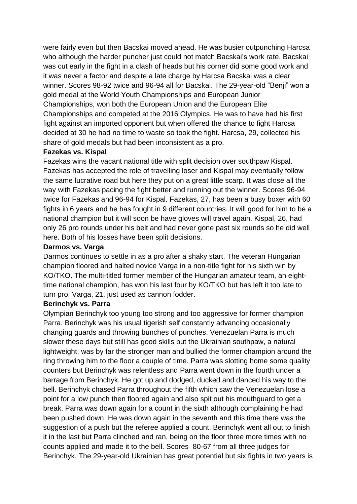were fairly even but then Bacskai moved ahead. He was busier outpunching Harcsa who although the harder puncher just could not match Bacskai's work rate. Bacskai was cut early in the fight in a clash of heads but his corner did some good work and it was never a factor and despite a late charge by Harcsa Bacskai was a clear winner. Scores 98-92 twice and 96-94 all for Bacskai. The 29-year-old "Benji" won a gold medal at the World Youth Championships and European Junior Championships, won both the European Union and the European Elite Championships and competed at the 2016 Olympics. He was to have had his first fight against an imported opponent but when offered the chance to fight Harcsa decided at 30 he had no time to waste so took the fight. Harcsa, 29, collected his share of gold medals but had been inconsistent as a pro.

#### **Fazekas vs. Kispal**

Fazekas wins the vacant national title with split decision over southpaw Kispal. Fazekas has accepted the role of travelling loser and Kispal may eventually follow the same lucrative road but here they put on a great little scarp. It was close all the way with Fazekas pacing the fight better and running out the winner. Scores 96-94 twice for Fazekas and 96-94 for Kispal. Fazekas, 27, has been a busy boxer with 60 fights in 6 years and he has fought in 9 different countries. It will good for him to be a national champion but it will soon be have gloves will travel again. Kispal, 26, had only 26 pro rounds under his belt and had never gone past six rounds so he did well here. Both of his losses have been split decisions.

#### **Darmos vs. Varga**

Darmos continues to settle in as a pro after a shaky start. The veteran Hungarian champion floored and halted novice Varga in a non-title fight for his sixth win by KO/TKO. The multi-titled former member of the Hungarian amateur team, an eighttime national champion, has won his last four by KO/TKO but has left it too late to turn pro. Varga, 21, just used as cannon fodder.

#### **Berinchyk vs. Parra**

Olympian Berinchyk too young too strong and too aggressive for former champion Parra. Berinchyk was his usual tigerish self constantly advancing occasionally changing guards and throwing bunches of punches. Venezuelan Parra is much slower these days but still has good skills but the Ukrainian southpaw, a natural lightweight, was by far the stronger man and bullied the former champion around the ring throwing him to the floor a couple of time. Parra was slotting home some quality counters but Berinchyk was relentless and Parra went down in the fourth under a barrage from Berinchyk. He got up and dodged, ducked and danced his way to the bell. Berinchyk chased Parra throughout the fifth which saw the Venezuelan lose a point for a low punch then floored again and also spit out his mouthguard to get a break. Parra was down again for a count in the sixth although complaining he had been pushed down. He was down again in the seventh and this time there was the suggestion of a push but the referee applied a count. Berinchyk went all out to finish it in the last but Parra clinched and ran, being on the floor three more times with no counts applied and made it to the bell. Scores 80-67 from all three judges for Berinchyk. The 29-year-old Ukrainian has great potential but six fights in two years is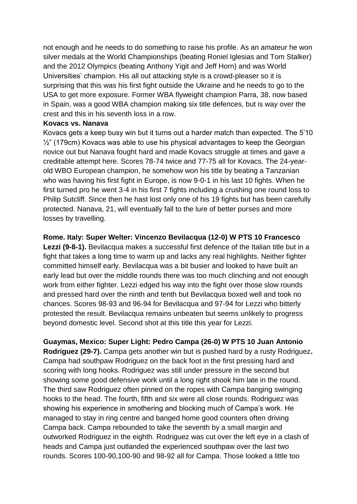not enough and he needs to do something to raise his profile. As an amateur he won silver medals at the World Championships (beating Roniel Iglesias and Tom Stalker) and the 2012 Olympics (beating Anthony Yigit and Jeff Horn) and was World Universities' champion. His all out attacking style is a crowd-pleaser so it is surprising that this was his first fight outside the Ukraine and he needs to go to the USA to get more exposure. Former WBA flyweight champion Parra, 38, now based in Spain, was a good WBA champion making six title defences, but is way over the crest and this in his seventh loss in a row.

#### **Kovacs vs. Nanava**

Kovacs gets a keep busy win but it turns out a harder match than expected. The 5'10  $\frac{1}{2}$ " (179cm) Kovacs was able to use his physical advantages to keep the Georgian novice out but Nanava fought hard and made Kovacs struggle at times and gave a creditable attempt here. Scores 78-74 twice and 77-75 all for Kovacs. The 24-yearold WBO European champion, he somehow won his title by beating a Tanzanian who was having his first fight in Europe, is now 9-0-1 in his last 10 fights. When he first turned pro he went 3-4 in his first 7 fights including a crushing one round loss to Philip Sutcliff. Since then he hast lost only one of his 19 fights but has been carefully protected. Nanava, 21, will eventually fall to the lure of better purses and more losses by travelling.

#### **Rome. Italy: Super Welter: Vincenzo Bevilacqua (12-0) W PTS 10 Francesco**

**Lezzi (9-8-1).** Bevilacqua makes a successful first defence of the Italian title but in a fight that takes a long time to warm up and lacks any real highlights. Neither fighter committed himself early. Bevilacqua was a bit busier and looked to have built an early lead but over the middle rounds there was too much clinching and not enough work from either fighter. Lezzi edged his way into the fight over those slow rounds and pressed hard over the ninth and tenth but Bevilacqua boxed well and took no chances. Scores 98-93 and 96-94 for Bevilacqua and 97-94 for Lezzi who bitterly protested the result. Bevilacqua remains unbeaten but seems unlikely to progress beyond domestic level. Second shot at this title this year for Lezzi.

**Guaymas, Mexico: Super Light: Pedro Campa (26-0) W PTS 10 Juan Antonio Rodriguez (29-7).** Campa gets another win but is pushed hard by a rusty Rodriguez**.**  Campa had southpaw Rodriguez on the back foot in the first pressing hard and scoring with long hooks. Rodriguez was still under pressure in the second but showing some good defensive work until a long right shook him late in the round. The third saw Rodriguez often pinned on the ropes with Campa banging swinging hooks to the head. The fourth, fifth and six were all close rounds. Rodriguez was showing his experience in smothering and blocking much of Campa's work. He managed to stay in ring centre and banged home good counters often driving Campa back. Campa rebounded to take the seventh by a small margin and outworked Rodriguez in the eighth. Rodriguez was cut over the left eye in a clash of heads and Campa just outlanded the experienced southpaw over the last two rounds. Scores 100-90,100-90 and 98-92 all for Campa. Those looked a little too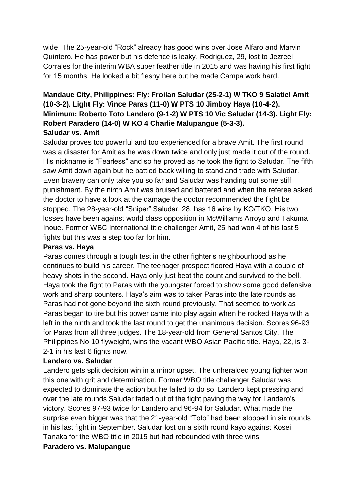wide. The 25-year-old "Rock" already has good wins over Jose Alfaro and Marvin Quintero. He has power but his defence is leaky. Rodriguez, 29, lost to Jezreel Corrales for the interim WBA super feather title in 2015 and was having his first fight for 15 months. He looked a bit fleshy here but he made Campa work hard.

## **Mandaue City, Philippines: Fly: Froilan Saludar (25-2-1) W TKO 9 Salatiel Amit (10-3-2). Light Fly: Vince Paras (11-0) W PTS 10 Jimboy Haya (10-4-2). Minimum: Roberto Toto Landero (9-1-2) W PTS 10 Vic Saludar (14-3). Light Fly: Robert Paradero (14-0) W KO 4 Charlie Malupangue (5-3-3). Saludar vs. Amit**

## Saludar proves too powerful and too experienced for a brave Amit. The first round was a disaster for Amit as he was down twice and only just made it out of the round. His nickname is "Fearless" and so he proved as he took the fight to Saludar. The fifth saw Amit down again but he battled back willing to stand and trade with Saludar. Even bravery can only take you so far and Saludar was handing out some stiff punishment. By the ninth Amit was bruised and battered and when the referee asked the doctor to have a look at the damage the doctor recommended the fight be stopped. The 28-year-old "Sniper" Saludar, 28, has 16 wins by KO/TKO. His two losses have been against world class opposition in McWilliams Arroyo and Takuma Inoue. Former WBC International title challenger Amit, 25 had won 4 of his last 5 fights but this was a step too far for him.

#### **Paras vs. Haya**

Paras comes through a tough test in the other fighter's neighbourhood as he continues to build his career. The teenager prospect floored Haya with a couple of heavy shots in the second. Haya only just beat the count and survived to the bell. Haya took the fight to Paras with the youngster forced to show some good defensive work and sharp counters. Haya's aim was to taker Paras into the late rounds as Paras had not gone beyond the sixth round previously. That seemed to work as Paras began to tire but his power came into play again when he rocked Haya with a left in the ninth and took the last round to get the unanimous decision. Scores 96-93 for Paras from all three judges. The 18-year-old from General Santos City, The Philippines No 10 flyweight, wins the vacant WBO Asian Pacific title. Haya, 22, is 3- 2-1 in his last 6 fights now.

#### **Landero vs. Saludar**

Landero gets split decision win in a minor upset. The unheralded young fighter won this one with grit and determination. Former WBO title challenger Saludar was expected to dominate the action but he failed to do so. Landero kept pressing and over the late rounds Saludar faded out of the fight paving the way for Landero's victory. Scores 97-93 twice for Landero and 96-94 for Saludar. What made the surprise even bigger was that the 21-year-old "Toto" had been stopped in six rounds in his last fight in September. Saludar lost on a sixth round kayo against Kosei Tanaka for the WBO title in 2015 but had rebounded with three wins

#### **Paradero vs. Malupangue**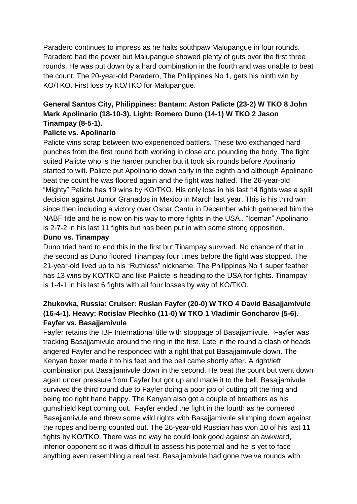Paradero continues to impress as he halts southpaw Malupangue in four rounds. Paradero had the power but Malupangue showed plenty of guts over the first three rounds. He was put down by a hard combination in the fourth and was unable to beat the count. The 20-year-old Paradero, The Philippines No 1, gets his ninth win by KO/TKO. First loss by KO/TKO for Malupangue.

# **General Santos City, Philippines: Bantam: Aston Palicte (23-2) W TKO 8 John Mark Apolinario (18-10-3). Light: Romero Duno (14-1) W TKO 2 Jason Tinampay (8-5-1).**

## **Palicte vs. Apolinario**

Palicte wins scrap between two experienced battlers. These two exchanged hard punches from the first round both working in close and pounding the body. The fight suited Palicte who is the harder puncher but it took six rounds before Apolinario started to wilt. Palicte put Apolinario down early in the eighth and although Apolinario beat the count he was floored again and the fight was halted. The 26-year-old "Mighty" Palicte has 19 wins by KO/TKO. His only loss in his last 14 fights was a split decision against Junior Granados in Mexico in March last year. This is his third win since then including a victory over Oscar Cantu in December which garnered him the NABF title and he is now on his way to more fights in the USA.. "Iceman" Apolinario is 2-7-2 in his last 11 fights but has been put in with some strong opposition.

## **Duno vs. Tinampay**

Duno tried hard to end this in the first but Tinampay survived. No chance of that in the second as Duno floored Tinampay four times before the fight was stopped. The 21-year-old lived up to his "Ruthless" nickname. The Philippines No 1 super feather has 13 wins by KO/TKO and like Palicte is heading to the USA for fights. Tinampay is 1-4-1 in his last 6 fights with all four losses by way of KO/TKO.

## **Zhukovka, Russia: Cruiser: Ruslan Fayfer (20-0) W TKO 4 David Basajjamivule (16-4-1). Heavy: Rotislav Plechko (11-0) W TKO 1 Vladimir Goncharov (5-6). Fayfer vs. Basajjamivule**

Fayfer retains the IBF International title with stoppage of Basajjamivule. Fayfer was tracking Basajjamivule around the ring in the first. Late in the round a clash of heads angered Fayfer and he responded with a right that put Basajjamivule down. The Kenyan boxer made it to his feet and the bell came shortly after. A right/left combination put Basajjamivule down in the second. He beat the count but went down again under pressure from Fayfer but got up and made it to the bell. Basajjamivule survived the third round due to Fayfer doing a poor job of cutting off the ring and being too right hand happy. The Kenyan also got a couple of breathers as his gumshield kept coming out. Fayfer ended the fight in the fourth as he cornered Basajjamivule and threw some wild rights with Basajjamivule slumping down against the ropes and being counted out. The 26-year-old Russian has won 10 of his last 11 fights by KO/TKO. There was no way he could look good against an awkward, inferior opponent so it was difficult to assess his potential and he is yet to face anything even resembling a real test. Basajjamivule had gone twelve rounds with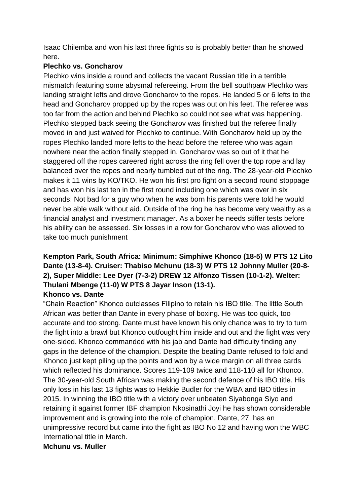Isaac Chilemba and won his last three fights so is probably better than he showed here.

## **Plechko vs. Goncharov**

Plechko wins inside a round and collects the vacant Russian title in a terrible mismatch featuring some abysmal refereeing. From the bell southpaw Plechko was landing straight lefts and drove Goncharov to the ropes. He landed 5 or 6 lefts to the head and Goncharov propped up by the ropes was out on his feet. The referee was too far from the action and behind Plechko so could not see what was happening. Plechko stepped back seeing the Goncharov was finished but the referee finally moved in and just waived for Plechko to continue. With Goncharov held up by the ropes Plechko landed more lefts to the head before the referee who was again nowhere near the action finally stepped in. Goncharov was so out of it that he staggered off the ropes careered right across the ring fell over the top rope and lay balanced over the ropes and nearly tumbled out of the ring. The 28-year-old Plechko makes it 11 wins by KO/TKO. He won his first pro fight on a second round stoppage and has won his last ten in the first round including one which was over in six seconds! Not bad for a guy who when he was born his parents were told he would never be able walk without aid. Outside of the ring he has become very wealthy as a financial analyst and investment manager. As a boxer he needs stiffer tests before his ability can be assessed. Six losses in a row for Goncharov who was allowed to take too much punishment

## **Kempton Park, South Africa: Minimum: Simphiwe Khonco (18-5) W PTS 12 Lito Dante (13-8-4). Cruiser: Thabiso Mchunu (18-3) W PTS 12 Johnny Muller (20-8- 2), Super Middle: Lee Dyer (7-3-2) DREW 12 Alfonzo Tissen (10-1-2). Welter: Thulani Mbenge (11-0) W PTS 8 Jayar Inson (13-1). Khonco vs. Dante**

"Chain Reaction" Khonco outclasses Filipino to retain his IBO title. The little South African was better than Dante in every phase of boxing. He was too quick, too accurate and too strong. Dante must have known his only chance was to try to turn the fight into a brawl but Khonco outfought him inside and out and the fight was very one-sided. Khonco commanded with his jab and Dante had difficulty finding any gaps in the defence of the champion. Despite the beating Dante refused to fold and Khonco just kept piling up the points and won by a wide margin on all three cards which reflected his dominance. Scores 119-109 twice and 118-110 all for Khonco. The 30-year-old South African was making the second defence of his IBO title. His only loss in his last 13 fights was to Hekkie Budler for the WBA and IBO titles in 2015. In winning the IBO title with a victory over unbeaten Siyabonga Siyo and retaining it against former IBF champion Nkosinathi Joyi he has shown considerable improvement and is growing into the role of champion. Dante, 27, has an unimpressive record but came into the fight as IBO No 12 and having won the WBC International title in March.

#### **Mchunu vs. Muller**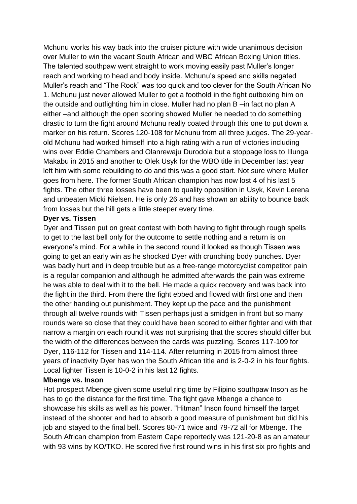Mchunu works his way back into the cruiser picture with wide unanimous decision over Muller to win the vacant South African and WBC African Boxing Union titles. The talented southpaw went straight to work moving easily past Muller's longer reach and working to head and body inside. Mchunu's speed and skills negated Muller's reach and "The Rock" was too quick and too clever for the South African No 1. Mchunu just never allowed Muller to get a foothold in the fight outboxing him on the outside and outfighting him in close. Muller had no plan B –in fact no plan A either –and although the open scoring showed Muller he needed to do something drastic to turn the fight around Mchunu really coated through this one to put down a marker on his return. Scores 120-108 for Mchunu from all three judges. The 29-yearold Mchunu had worked himself into a high rating with a run of victories including wins over Eddie Chambers and Olanrewaju Durodola but a stoppage loss to Illunga Makabu in 2015 and another to Olek Usyk for the WBO title in December last year left him with some rebuilding to do and this was a good start. Not sure where Muller goes from here. The former South African champion has now lost 4 of his last 5 fights. The other three losses have been to quality opposition in Usyk, Kevin Lerena and unbeaten Micki Nielsen. He is only 26 and has shown an ability to bounce back from losses but the hill gets a little steeper every time.

#### **Dyer vs. Tissen**

Dyer and Tissen put on great contest with both having to fight through rough spells to get to the last bell only for the outcome to settle nothing and a return is on everyone's mind. For a while in the second round it looked as though Tissen was going to get an early win as he shocked Dyer with crunching body punches. Dyer was badly hurt and in deep trouble but as a free-range motorcyclist competitor pain is a regular companion and although he admitted afterwards the pain was extreme he was able to deal with it to the bell. He made a quick recovery and was back into the fight in the third. From there the fight ebbed and flowed with first one and then the other handing out punishment. They kept up the pace and the punishment through all twelve rounds with Tissen perhaps just a smidgen in front but so many rounds were so close that they could have been scored to either fighter and with that narrow a margin on each round it was not surprising that the scores should differ but the width of the differences between the cards was puzzling. Scores 117-109 for Dyer, 116-112 for Tissen and 114-114. After returning in 2015 from almost three years of inactivity Dyer has won the South African title and is 2-0-2 in his four fights. Local fighter Tissen is 10-0-2 in his last 12 fights.

#### **Mbenge vs. Inson**

Hot prospect Mbenge given some useful ring time by Filipino southpaw Inson as he has to go the distance for the first time. The fight gave Mbenge a chance to showcase his skills as well as his power. "Hitman" Inson found himself the target instead of the shooter and had to absorb a good measure of punishment but did his job and stayed to the final bell. Scores 80-71 twice and 79-72 all for Mbenge. The South African champion from Eastern Cape reportedly was 121-20-8 as an amateur with 93 wins by KO/TKO. He scored five first round wins in his first six pro fights and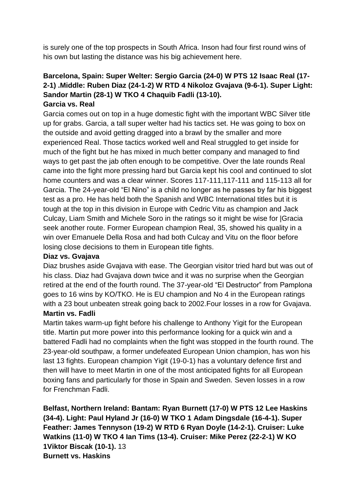is surely one of the top prospects in South Africa. Inson had four first round wins of his own but lasting the distance was his big achievement here.

## **Barcelona, Spain: Super Welter: Sergio Garcia (24-0) W PTS 12 Isaac Real (17- 2-1) .Middle: Ruben Diaz (24-1-2) W RTD 4 Nikoloz Gvajava (9-6-1). Super Light: Sandor Martin (28-1) W TKO 4 Chaquib Fadli (13-10). Garcia vs. Real**

Garcia comes out on top in a huge domestic fight with the important WBC Silver title up for grabs. Garcia, a tall super welter had his tactics set. He was going to box on the outside and avoid getting dragged into a brawl by the smaller and more experienced Real. Those tactics worked well and Real struggled to get inside for much of the fight but he has mixed in much better company and managed to find ways to get past the jab often enough to be competitive. Over the late rounds Real came into the fight more pressing hard but Garcia kept his cool and continued to slot home counters and was a clear winner. Scores 117-111,117-111 and 115-113 all for Garcia. The 24-year-old "El Nino" is a child no longer as he passes by far his biggest test as a pro. He has held both the Spanish and WBC International titles but it is tough at the top in this division in Europe with Cedric Vitu as champion and Jack Culcay, Liam Smith and Michele Soro in the ratings so it might be wise for |Gracia seek another route. Former European champion Real, 35, showed his quality in a win over Emanuele Della Rosa and had both Culcay and Vitu on the floor before losing close decisions to them in European title fights.

## **Diaz vs. Gvajava**

Diaz brushes aside Gvajava with ease. The Georgian visitor tried hard but was out of his class. Diaz had Gvajava down twice and it was no surprise when the Georgian retired at the end of the fourth round. The 37-year-old "El Destructor" from Pamplona goes to 16 wins by KO/TKO. He is EU champion and No 4 in the European ratings with a 23 bout unbeaten streak going back to 2002.Four losses in a row for Gvajava. **Martin vs. Fadli**

Martin takes warm-up fight before his challenge to Anthony Yigit for the European title. Martin put more power into this performance looking for a quick win and a battered Fadli had no complaints when the fight was stopped in the fourth round. The 23-year-old southpaw, a former undefeated European Union champion, has won his last 13 fights. European champion Yigit (19-0-1) has a voluntary defence first and then will have to meet Martin in one of the most anticipated fights for all European boxing fans and particularly for those in Spain and Sweden. Seven losses in a row for Frenchman Fadli.

**Belfast, Northern Ireland: Bantam: Ryan Burnett (17-0) W PTS 12 Lee Haskins (34-4). Light: Paul Hyland Jr (16-0) W TKO 1 Adam Dingsdale (16-4-1). Super Feather: James Tennyson (19-2) W RTD 6 Ryan Doyle (14-2-1). Cruiser: Luke Watkins (11-0) W TKO 4 Ian Tims (13-4). Cruiser: Mike Perez (22-2-1) W KO 1Viktor Biscak (10-1).** 13 **Burnett vs. Haskins**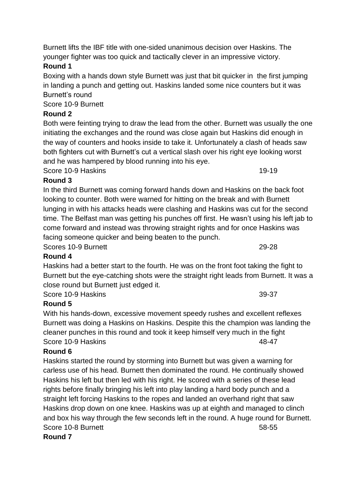## **Round 1**

Boxing with a hands down style Burnett was just that bit quicker in the first jumping in landing a punch and getting out. Haskins landed some nice counters but it was Burnett's round

Score 10-9 Burnett

# **Round 2**

Both were feinting trying to draw the lead from the other. Burnett was usually the one initiating the exchanges and the round was close again but Haskins did enough in the way of counters and hooks inside to take it. Unfortunately a clash of heads saw both fighters cut with Burnett's cut a vertical slash over his right eye looking worst and he was hampered by blood running into his eye.

Score 10-9 Haskins 19-19

# **Round 3**

In the third Burnett was coming forward hands down and Haskins on the back foot looking to counter. Both were warned for hitting on the break and with Burnett lunging in with his attacks heads were clashing and Haskins was cut for the second time. The Belfast man was getting his punches off first. He wasn't using his left jab to come forward and instead was throwing straight rights and for once Haskins was facing someone quicker and being beaten to the punch.

Scores 10-9 Burnett 29-28

# **Round 4**

Haskins had a better start to the fourth. He was on the front foot taking the fight to Burnett but the eye-catching shots were the straight right leads from Burnett. It was a close round but Burnett just edged it.

Score 10-9 Haskins 39-37

# **Round 5**

With his hands-down, excessive movement speedy rushes and excellent reflexes Burnett was doing a Haskins on Haskins. Despite this the champion was landing the cleaner punches in this round and took it keep himself very much in the fight Score 10-9 Haskins 48-47

## **Round 6**

Haskins started the round by storming into Burnett but was given a warning for carless use of his head. Burnett then dominated the round. He continually showed Haskins his left but then led with his right. He scored with a series of these lead rights before finally bringing his left into play landing a hard body punch and a straight left forcing Haskins to the ropes and landed an overhand right that saw Haskins drop down on one knee. Haskins was up at eighth and managed to clinch and box his way through the few seconds left in the round. A huge round for Burnett. Score 10-8 Burnett 58-55 **Round 7**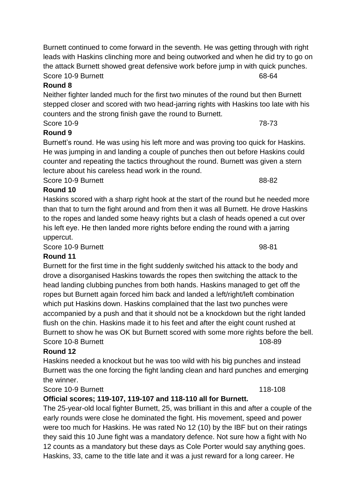**Round 8** Neither fighter landed much for the first two minutes of the round but then Burnett stepped closer and scored with two head-jarring rights with Haskins too late with his counters and the strong finish gave the round to Burnett.

Burnett continued to come forward in the seventh. He was getting through with right leads with Haskins clinching more and being outworked and when he did try to go on the attack Burnett showed great defensive work before jump in with quick punches.

#### Score 10-9 78-73 **Round 9**

Burnett's round. He was using his left more and was proving too quick for Haskins. He was jumping in and landing a couple of punches then out before Haskins could counter and repeating the tactics throughout the round. Burnett was given a stern lecture about his careless head work in the round.

Score 10-9 Burnett 88-82

## **Round 10**

Haskins scored with a sharp right hook at the start of the round but he needed more than that to turn the fight around and from then it was all Burnett. He drove Haskins to the ropes and landed some heavy rights but a clash of heads opened a cut over his left eye. He then landed more rights before ending the round with a jarring uppercut.

Score 10-9 Burnett and the state of the state 98-81

## **Round 11**

Burnett for the first time in the fight suddenly switched his attack to the body and drove a disorganised Haskins towards the ropes then switching the attack to the head landing clubbing punches from both hands. Haskins managed to get off the ropes but Burnett again forced him back and landed a left/right/left combination which put Haskins down. Haskins complained that the last two punches were accompanied by a push and that it should not be a knockdown but the right landed flush on the chin. Haskins made it to his feet and after the eight count rushed at Burnett to show he was OK but Burnett scored with some more rights before the bell. Score 10-8 Burnett 108-89

## **Round 12**

Haskins needed a knockout but he was too wild with his big punches and instead Burnett was the one forcing the fight landing clean and hard punches and emerging the winner.

## Score 10-9 Burnett 118-108

## **Official scores; 119-107, 119-107 and 118-110 all for Burnett.**

The 25-year-old local fighter Burnett, 25, was brilliant in this and after a couple of the early rounds were close he dominated the fight. His movement, speed and power were too much for Haskins. He was rated No 12 (10) by the IBF but on their ratings they said this 10 June fight was a mandatory defence. Not sure how a fight with No 12 counts as a mandatory but these days as Cole Porter would say anything goes. Haskins, 33, came to the title late and it was a just reward for a long career. He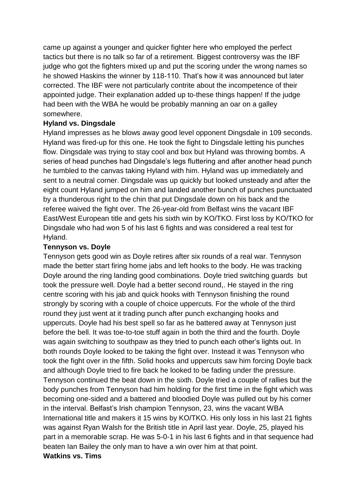came up against a younger and quicker fighter here who employed the perfect tactics but there is no talk so far of a retirement. Biggest controversy was the IBF judge who got the fighters mixed up and put the scoring under the wrong names so he showed Haskins the winner by 118-110. That's how it was announced but later corrected. The IBF were not particularly contrite about the incompetence of their appointed judge. Their explanation added up to-these things happen! If the judge had been with the WBA he would be probably manning an oar on a galley somewhere.

#### **Hyland vs. Dingsdale**

Hyland impresses as he blows away good level opponent Dingsdale in 109 seconds. Hyland was fired-up for this one. He took the fight to Dingsdale letting his punches flow. Dingsdale was trying to stay cool and box but Hyland was throwing bombs. A series of head punches had Dingsdale's legs fluttering and after another head punch he tumbled to the canvas taking Hyland with him. Hyland was up immediately and sent to a neutral corner. Dingsdale was up quickly but looked unsteady and after the eight count Hyland jumped on him and landed another bunch of punches punctuated by a thunderous right to the chin that put Dingsdale down on his back and the referee waived the fight over. The 26-year-old from Belfast wins the vacant IBF East/West European title and gets his sixth win by KO/TKO. First loss by KO/TKO for Dingsdale who had won 5 of his last 6 fights and was considered a real test for Hyland.

#### **Tennyson vs. Doyle**

Tennyson gets good win as Doyle retires after six rounds of a real war. Tennyson made the better start firing home jabs and left hooks to the body. He was tracking Doyle around the ring landing good combinations. Doyle tried switching guards but took the pressure well. Doyle had a better second round,. He stayed in the ring centre scoring with his jab and quick hooks with Tennyson finishing the round strongly by scoring with a couple of choice uppercuts. For the whole of the third round they just went at it trading punch after punch exchanging hooks and uppercuts. Doyle had his best spell so far as he battered away at Tennyson just before the bell. It was toe-to-toe stuff again in both the third and the fourth. Doyle was again switching to southpaw as they tried to punch each other's lights out. In both rounds Doyle looked to be taking the fight over. Instead it was Tennyson who took the fight over in the fifth. Solid hooks and uppercuts saw him forcing Doyle back and although Doyle tried to fire back he looked to be fading under the pressure. Tennyson continued the beat down in the sixth. Doyle tried a couple of rallies but the body punches from Tennyson had him holding for the first time in the fight which was becoming one-sided and a battered and bloodied Doyle was pulled out by his corner in the interval. Belfast's Irish champion Tennyson, 23, wins the vacant WBA International title and makers it 15 wins by KO/TKO. His only loss in his last 21 fights was against Ryan Walsh for the British title in April last year. Doyle, 25, played his part in a memorable scrap. He was 5-0-1 in his last 6 fights and in that sequence had beaten Ian Bailey the only man to have a win over him at that point. **Watkins vs. Tims**